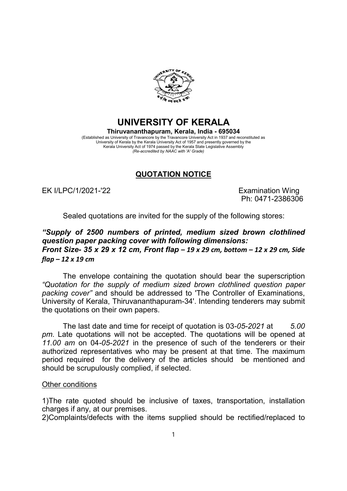

## UNIVERSITY OF KERALA Thiruvananthapuram, Kerala, India - 695034 (Established as University of Travancore by the Travancore University Act in 1937 and reconstituted as University of Kerala by the Kerala University Act of 1957 and presently governed by the Kerala University Act of 1974 passed by the Kerala State Legislative Assembly (Re-accredited by NAAC with 'A' Grade)

## QUOTATION NOTICE

EK I/LPC/1/2021-'22 Examination Wing

Ph: 0471-2386306

Sealed quotations are invited for the supply of the following stores:

## "Supply of 2500 numbers of printed, medium sized brown clothlined question paper packing cover with following dimensions: Front Size- 35 x 29 x 12 cm, Front flap – 19 x 29 cm, bottom – 12 x 29 cm, Side flap – 12 x 19 cm

The envelope containing the quotation should bear the superscription "Quotation for the supply of medium sized brown clothlined question paper packing cover" and should be addressed to 'The Controller of Examinations, University of Kerala, Thiruvananthapuram-34'. Intending tenderers may submit the quotations on their own papers.

The last date and time for receipt of quotation is 03-05-2021 at 5.00 pm. Late quotations will not be accepted. The quotations will be opened at 11.00 am on 04-05-2021 in the presence of such of the tenderers or their authorized representatives who may be present at that time. The maximum period required for the delivery of the articles should be mentioned and should be scrupulously complied, if selected.

## Other conditions

1)The rate quoted should be inclusive of taxes, transportation, installation charges if any, at our premises.

2)Complaints/defects with the items supplied should be rectified/replaced to